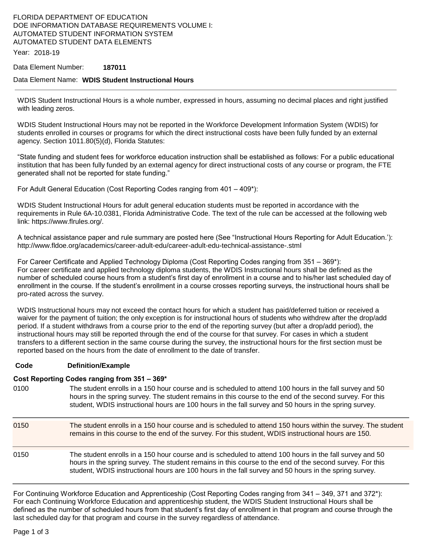# FLORIDA DEPARTMENT OF EDUCATION DOE INFORMATION DATABASE REQUIREMENTS VOLUME I: AUTOMATED STUDENT INFORMATION SYSTEM AUTOMATED STUDENT DATA ELEMENTS

Year: 2018-19

#### Data Element Number: **187011**

#### Data Element Name: **WDIS Student Instructional Hours**

WDIS Student Instructional Hours is a whole number, expressed in hours, assuming no decimal places and right justified with leading zeros.

WDIS Student Instructional Hours may not be reported in the Workforce Development Information System (WDIS) for students enrolled in courses or programs for which the direct instructional costs have been fully funded by an external agency. Section 1011.80(5)(d), Florida Statutes:

"State funding and student fees for workforce education instruction shall be established as follows: For a public educational institution that has been fully funded by an external agency for direct instructional costs of any course or program, the FTE generated shall not be reported for state funding."

For Adult General Education (Cost Reporting Codes ranging from 401 – 409\*):

WDIS Student Instructional Hours for adult general education students must be reported in accordance with the requirements in Rule 6A-10.0381, Florida Administrative Code. The text of the rule can be accessed at the following web link: https://www.flrules.org/.

A technical assistance paper and rule summary are posted here (See "Instructional Hours Reporting for Adult Education.'): http://www.fldoe.org/academics/career-adult-edu/career-adult-edu-technical-assistance-.stml

For Career Certificate and Applied Technology Diploma (Cost Reporting Codes ranging from 351 – 369\*): For career certificate and applied technology diploma students, the WDIS Instructional hours shall be defined as the number of scheduled course hours from a student's first day of enrollment in a course and to his/her last scheduled day of enrollment in the course. If the student's enrollment in a course crosses reporting surveys, the instructional hours shall be pro-rated across the survey.

WDIS Instructional hours may not exceed the contact hours for which a student has paid/deferred tuition or received a waiver for the payment of tuition; the only exception is for instructional hours of students who withdrew after the drop/add period. If a student withdraws from a course prior to the end of the reporting survey (but after a drop/add period), the instructional hours may still be reported through the end of the course for that survey. For cases in which a student transfers to a different section in the same course during the survey, the instructional hours for the first section must be reported based on the hours from the date of enrollment to the date of transfer.

#### **Code Definition/Example**

#### **Cost Reporting Codes ranging from 351 – 369\***

- 0100 The student enrolls in a 150 hour course and is scheduled to attend 100 hours in the fall survey and 50 hours in the spring survey. The student remains in this course to the end of the second survey. For this student, WDIS instructional hours are 100 hours in the fall survey and 50 hours in the spring survey.
- 0150 The student enrolls in a 150 hour course and is scheduled to attend 150 hours within the survey. The student remains in this course to the end of the survey. For this student, WDIS instructional hours are 150. 0150 The student enrolls in a 150 hour course and is scheduled to attend 100 hours in the fall survey and 50 hours in the spring survey. The student remains in this course to the end of the second survey. For this student, WDIS instructional hours are 100 hours in the fall survey and 50 hours in the spring survey.

For Continuing Workforce Education and Apprenticeship (Cost Reporting Codes ranging from 341 – 349, 371 and 372\*): For each Continuing Workforce Education and apprenticeship student, the WDIS Student Instructional Hours shall be defined as the number of scheduled hours from that student's first day of enrollment in that program and course through the last scheduled day for that program and course in the survey regardless of attendance.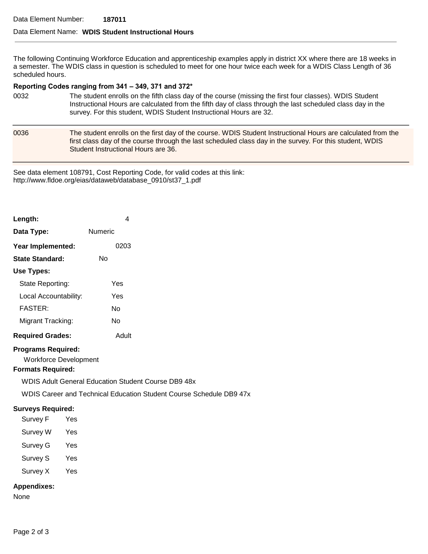## Data Element Name: **WDIS Student Instructional Hours**

The following Continuing Workforce Education and apprenticeship examples apply in district XX where there are 18 weeks in a semester. The WDIS class in question is scheduled to meet for one hour twice each week for a WDIS Class Length of 36 scheduled hours.

#### **Reporting Codes ranging from 341 – 349, 371 and 372\***

- 0032 The student enrolls on the fifth class day of the course (missing the first four classes). WDIS Student Instructional Hours are calculated from the fifth day of class through the last scheduled class day in the survey. For this student, WDIS Student Instructional Hours are 32.
- 0036 The student enrolls on the first day of the course. WDIS Student Instructional Hours are calculated from the first class day of the course through the last scheduled class day in the survey. For this student, WDIS Student Instructional Hours are 36.

See data element 108791, Cost Reporting Code, for valid codes at this link: http://www.fldoe.org/eias/dataweb/database\_0910/st37\_1.pdf

| Length:                 | 4       |
|-------------------------|---------|
| Data Type:              | Numeric |
| Year Implemented:       | 0203    |
| State Standard:         | N٥      |
| Use Types:              |         |
| State Reporting:        | Yes     |
| Local Accountability:   | Yes     |
| <b>FASTER:</b>          | N٥      |
| Migrant Tracking:       | N٥      |
| <b>Required Grades:</b> | Adult   |

#### **Programs Required:**

Workforce Development

## **Formats Required:**

WDIS Adult General Education Student Course DB9 48x

WDIS Career and Technical Education Student Course Schedule DB9 47x

## **Surveys Required:**

- Survey F Yes Survey W Yes
- Survey G Yes
- 
- Survey S Yes
- Survey X Yes

## **Appendixes:**

None